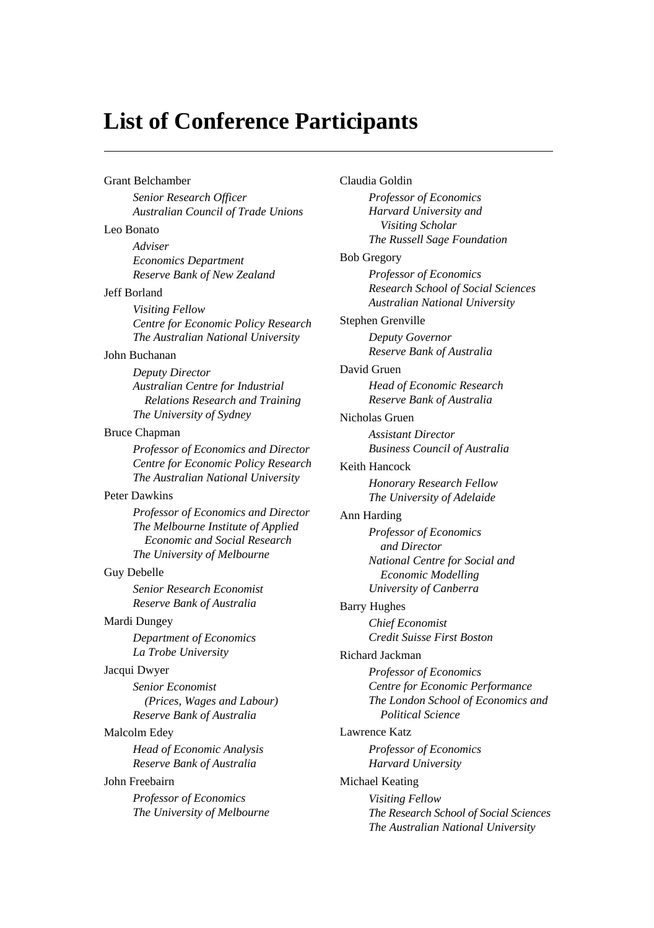## **List of Conference Participants**

Grant Belchamber *Senior Research Officer Australian Council of Trade Unions* Leo Bonato *Adviser Economics Department Reserve Bank of New Zealand* Jeff Borland *Visiting Fellow Centre for Economic Policy Research The Australian National University* John Buchanan *Deputy Director Australian Centre for Industrial Relations Research and Training The University of Sydney* Bruce Chapman *Professor of Economics and Director Centre for Economic Policy Research The Australian National University* Peter Dawkins *Professor of Economics and Director The Melbourne Institute of Applied Economic and Social Research The University of Melbourne* Guy Debelle *Senior Research Economist Reserve Bank of Australia* Mardi Dungey *Department of Economics La Trobe University* Jacqui Dwyer *Senior Economist (Prices, Wages and Labour) Reserve Bank of Australia* Malcolm Edey *Head of Economic Analysis Reserve Bank of Australia* John Freebairn *Professor of Economics The University of Melbourne* Claudia Goldin

*Professor of Economics Harvard University and Visiting Scholar The Russell Sage Foundation* Bob Gregory *Professor of Economics Research School of Social Sciences Australian National University* Stephen Grenville *Deputy Governor Reserve Bank of Australia* David Gruen *Head of Economic Research Reserve Bank of Australia* Nicholas Gruen *Assistant Director Business Council of Australia* Keith Hancock *Honorary Research Fellow The University of Adelaide* Ann Harding *Professor of Economics and Director National Centre for Social and Economic Modelling University of Canberra* Barry Hughes *Chief Economist Credit Suisse First Boston* Richard Jackman *Professor of Economics Centre for Economic Performance The London School of Economics and Political Science* Lawrence Katz *Professor of Economics Harvard University* Michael Keating *Visiting Fellow The Research School of Social Sciences The Australian National University*